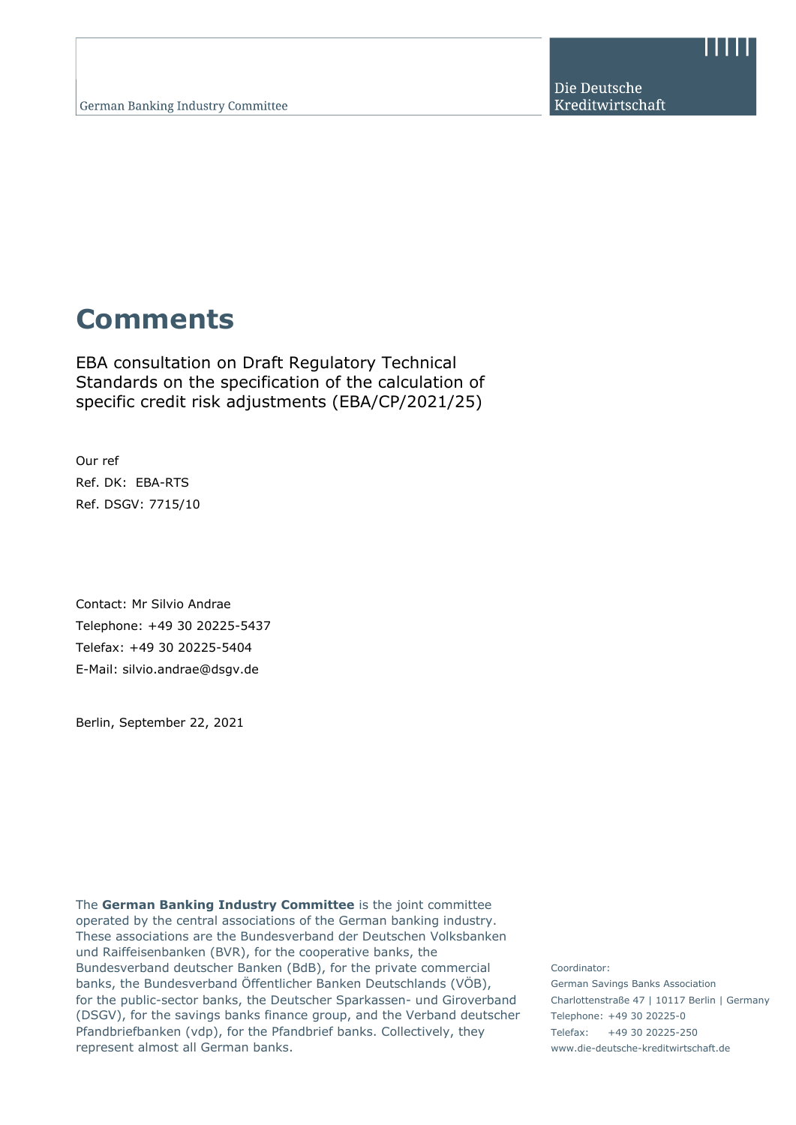Die Deutsche Kreditwirtschaft

## **Comments**

EBA consultation on Draft Regulatory Technical Standards on the specification of the calculation of specific credit risk adjustments (EBA/CP/2021/25)

Our ref Ref. DK: EBA-RTS Ref. DSGV: 7715/10

Contact: Mr Silvio Andrae Telephone: +49 30 20225-5437 Telefax: +49 30 20225-5404 E-Mail: silvio.andrae@dsgv.de

Berlin, September 22, 2021

The **German Banking Industry Committee** is the joint committee operated by the central associations of the German banking industry. These associations are the Bundesverband der Deutschen Volksbanken und Raiffeisenbanken (BVR), for the cooperative banks, the Bundesverband deutscher Banken (BdB), for the private commercial banks, the Bundesverband Öffentlicher Banken Deutschlands (VÖB), for the public-sector banks, the Deutscher Sparkassen- und Giroverband (DSGV), for the savings banks finance group, and the Verband deutscher Pfandbriefbanken (vdp), for the Pfandbrief banks. Collectively, they represent almost all German banks.

Coordinator: German Savings Banks Association Charlottenstraße 47 | 10117 Berlin | Germany Telephone: +49 30 20225-0 Telefax: +49 30 20225-250 www.die-deutsche-kreditwirtschaft.de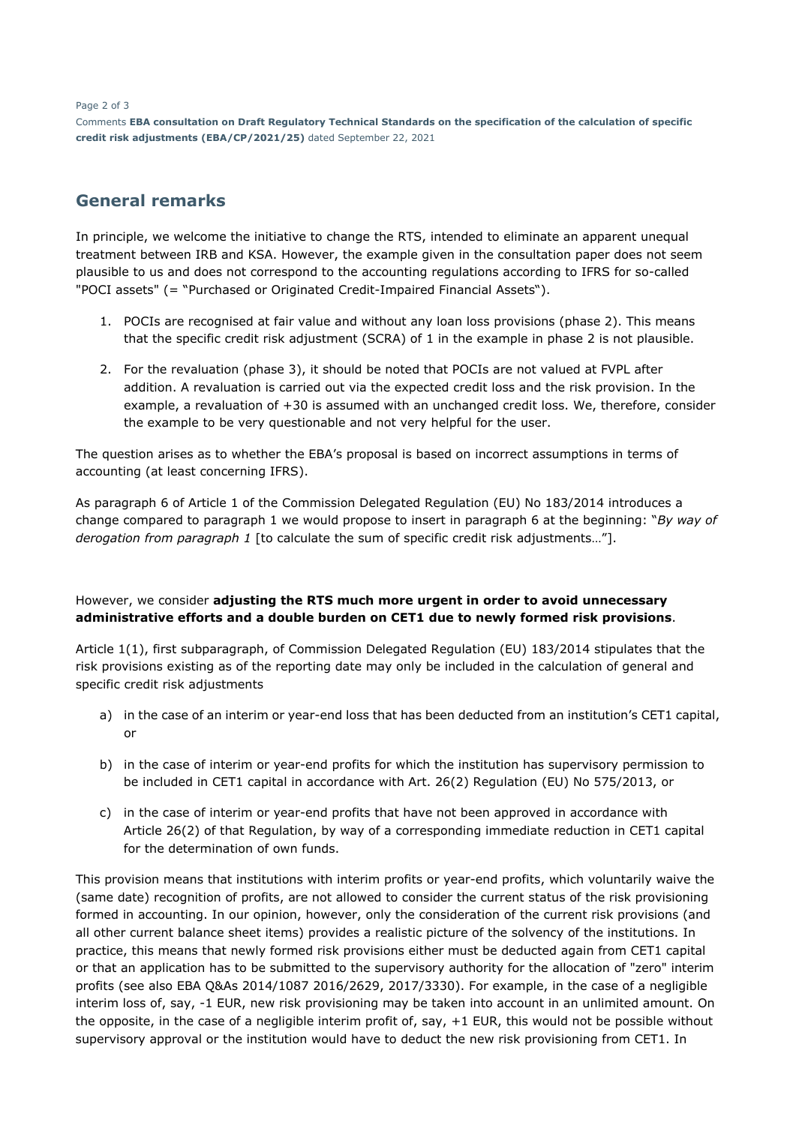Page 2 of 3

Comments **EBA consultation on Draft Regulatory Technical Standards on the specification of the calculation of specific credit risk adjustments (EBA/CP/2021/25)** dated September 22, 2021

## **General remarks**

In principle, we welcome the initiative to change the RTS, intended to eliminate an apparent unequal treatment between IRB and KSA. However, the example given in the consultation paper does not seem plausible to us and does not correspond to the accounting regulations according to IFRS for so-called "POCI assets" (= "Purchased or Originated Credit-Impaired Financial Assets").

- 1. POCIs are recognised at fair value and without any loan loss provisions (phase 2). This means that the specific credit risk adjustment (SCRA) of 1 in the example in phase 2 is not plausible.
- 2. For the revaluation (phase 3), it should be noted that POCIs are not valued at FVPL after addition. A revaluation is carried out via the expected credit loss and the risk provision. In the example, a revaluation of +30 is assumed with an unchanged credit loss. We, therefore, consider the example to be very questionable and not very helpful for the user.

The question arises as to whether the EBA's proposal is based on incorrect assumptions in terms of accounting (at least concerning IFRS).

As paragraph 6 of Article 1 of the Commission Delegated Regulation (EU) No 183/2014 introduces a change compared to paragraph 1 we would propose to insert in paragraph 6 at the beginning: "*By way of derogation from paragraph 1* [to calculate the sum of specific credit risk adjustments…"].

## However, we consider **adjusting the RTS much more urgent in order to avoid unnecessary administrative efforts and a double burden on CET1 due to newly formed risk provisions**.

Article 1(1), first subparagraph, of Commission Delegated Regulation (EU) 183/2014 stipulates that the risk provisions existing as of the reporting date may only be included in the calculation of general and specific credit risk adjustments

- a) in the case of an interim or year-end loss that has been deducted from an institution's CET1 capital, or
- b) in the case of interim or year-end profits for which the institution has supervisory permission to be included in CET1 capital in accordance with Art. 26(2) Regulation (EU) No 575/2013, or
- c) in the case of interim or year-end profits that have not been approved in accordance with Article 26(2) of that Regulation, by way of a corresponding immediate reduction in CET1 capital for the determination of own funds.

This provision means that institutions with interim profits or year-end profits, which voluntarily waive the (same date) recognition of profits, are not allowed to consider the current status of the risk provisioning formed in accounting. In our opinion, however, only the consideration of the current risk provisions (and all other current balance sheet items) provides a realistic picture of the solvency of the institutions. In practice, this means that newly formed risk provisions either must be deducted again from CET1 capital or that an application has to be submitted to the supervisory authority for the allocation of "zero" interim profits (see also EBA Q&As 2014/1087 2016/2629, 2017/3330). For example, in the case of a negligible interim loss of, say, -1 EUR, new risk provisioning may be taken into account in an unlimited amount. On the opposite, in the case of a negligible interim profit of, say, +1 EUR, this would not be possible without supervisory approval or the institution would have to deduct the new risk provisioning from CET1. In